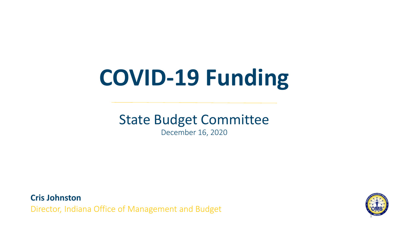# **COVID-19 Funding**

# State Budget Committee

December 16, 2020

**Cris Johnston** Director, Indiana Office of Management and Budget

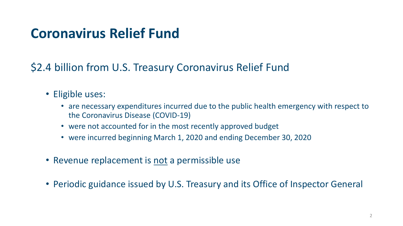#### **Coronavirus Relief Fund**

\$2.4 billion from U.S. Treasury Coronavirus Relief Fund

- Eligible uses:
	- are necessary expenditures incurred due to the public health emergency with respect to the Coronavirus Disease (COVID-19)
	- were not accounted for in the most recently approved budget
	- were incurred beginning March 1, 2020 and ending December 30, 2020
- Revenue replacement is not a permissible use
- Periodic guidance issued by U.S. Treasury and its Office of Inspector General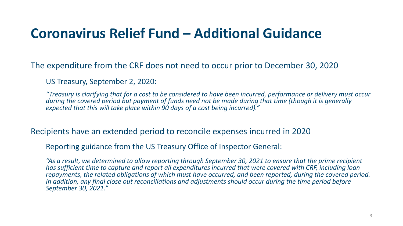#### **Coronavirus Relief Fund – Additional Guidance**

The expenditure from the CRF does not need to occur prior to December 30, 2020

US Treasury, September 2, 2020:

*"Treasury is clarifying that for a cost to be considered to have been incurred, performance or delivery must occur during the covered period but payment of funds need not be made during that time (though it is generally expected that this will take place within 90 days of a cost being incurred)."*

Recipients have an extended period to reconcile expenses incurred in 2020

Reporting guidance from the US Treasury Office of Inspector General:

*"As a result, we determined to allow reporting through September 30, 2021 to ensure that the prime recipient has sufficient time to capture and report all expenditures incurred that were covered with CRF, including loan repayments, the related obligations of which must have occurred, and been reported, during the covered period. In addition, any final close out reconciliations and adjustments should occur during the time period before September 30, 2021."*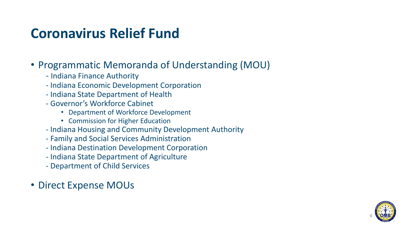#### **Coronavirus Relief Fund**

#### • Programmatic Memoranda of Understanding (MOU)

- Indiana Finance Authority
- Indiana Economic Development Corporation
- Indiana State Department of Health
- Governor's Workforce Cabinet
	- Department of Workforce Development
	- Commission for Higher Education
- Indiana Housing and Community Development Authority
- Family and Social Services Administration
- Indiana Destination Development Corporation
- Indiana State Department of Agriculture
- Department of Child Services
- Direct Expense MOUs

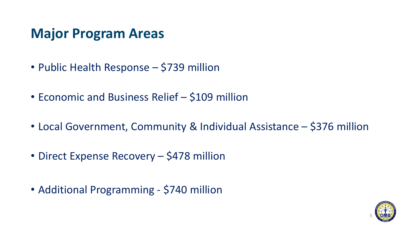#### **Major Program Areas**

- Public Health Response \$739 million
- Economic and Business Relief \$109 million
- Local Government, Community & Individual Assistance \$376 million
- Direct Expense Recovery \$478 million
- Additional Programming \$740 million

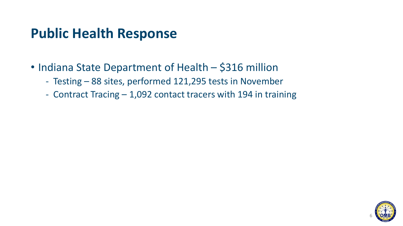#### **Public Health Response**

- Indiana State Department of Health \$316 million
	- Testing 88 sites, performed 121,295 tests in November
	- Contract Tracing 1,092 contact tracers with 194 in training

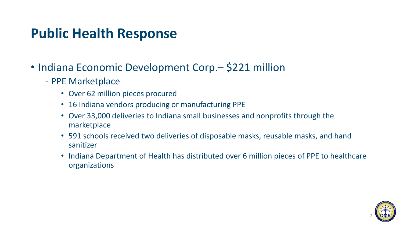#### **Public Health Response**

- Indiana Economic Development Corp. \$221 million
	- PPE Marketplace
		- Over 62 million pieces procured
		- 16 Indiana vendors producing or manufacturing PPE
		- Over 33,000 deliveries to Indiana small businesses and nonprofits through the marketplace
		- 591 schools received two deliveries of disposable masks, reusable masks, and hand sanitizer
		- Indiana Department of Health has distributed over 6 million pieces of PPE to healthcare organizations

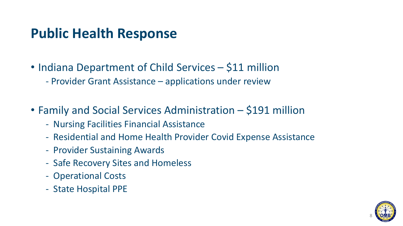#### **Public Health Response**

- Indiana Department of Child Services \$11 million
	- Provider Grant Assistance applications under review
- Family and Social Services Administration \$191 million
	- Nursing Facilities Financial Assistance
	- Residential and Home Health Provider Covid Expense Assistance
	- Provider Sustaining Awards
	- Safe Recovery Sites and Homeless
	- Operational Costs
	- State Hospital PPE

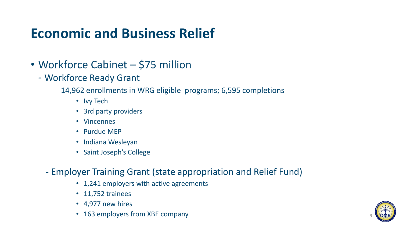## **Economic and Business Relief**

- Workforce Cabinet \$75 million
	- Workforce Ready Grant

14,962 enrollments in WRG eligible programs; 6,595 completions

- Ivy Tech
- 3rd party providers
- Vincennes
- Purdue MEP
- Indiana Wesleyan
- Saint Joseph's College
- Employer Training Grant (state appropriation and Relief Fund)
	- 1,241 employers with active agreements
	- 11,752 trainees
	- 4,977 new hires
	- 163 employers from XBE company

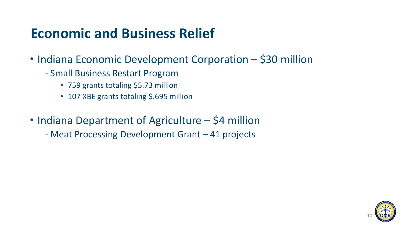#### **Economic and Business Relief**

- Indiana Economic Development Corporation \$30 million
	- Small Business Restart Program
		- 759 grants totaling \$5.73 million
		- 107 XBE grants totaling \$.695 million
- Indiana Department of Agriculture \$4 million
	- Meat Processing Development Grant 41 projects

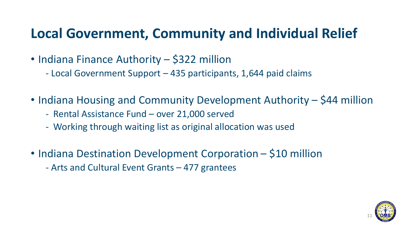## **Local Government, Community and Individual Relief**

- Indiana Finance Authority \$322 million
	- Local Government Support 435 participants, 1,644 paid claims
- Indiana Housing and Community Development Authority \$44 million
	- Rental Assistance Fund over 21,000 served
	- Working through waiting list as original allocation was used
- Indiana Destination Development Corporation \$10 million - Arts and Cultural Event Grants – 477 grantees

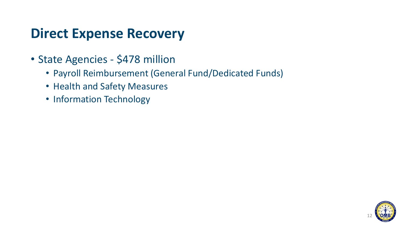#### **Direct Expense Recovery**

- State Agencies \$478 million
	- Payroll Reimbursement (General Fund/Dedicated Funds)
	- Health and Safety Measures
	- Information Technology

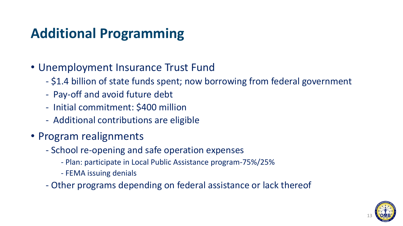# **Additional Programming**

#### • Unemployment Insurance Trust Fund

- \$1.4 billion of state funds spent; now borrowing from federal government
- Pay-off and avoid future debt
- Initial commitment: \$400 million
- Additional contributions are eligible
- Program realignments
	- School re-opening and safe operation expenses
		- Plan: participate in Local Public Assistance program-75%/25%
		- FEMA issuing denials
	- Other programs depending on federal assistance or lack thereof